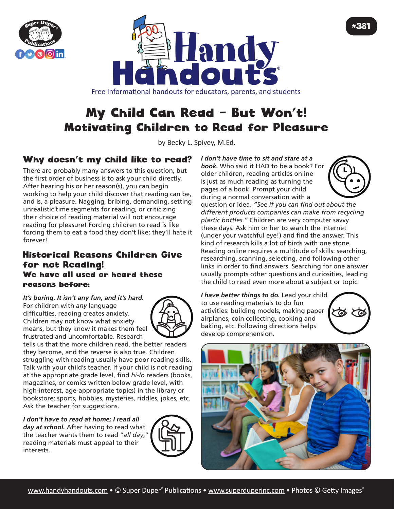



Free informational handouts for educators, parents, and students

# My Child Can Read – But Won't! Motivating Children to Read for Pleasure

by Becky L. Spivey, M.Ed.

## Why doesn't my child like to read?

There are probably many answers to this question, but the first order of business is to ask your child directly. After hearing his or her reason(s), you can begin working to help your child discover that reading can be, and is, a pleasure. Nagging, bribing, demanding, setting unrealistic time segments for reading, or criticizing their choice of reading material will not encourage reading for pleasure! Forcing children to read is like forcing them to eat a food they don't like; they'll hate it forever!

#### Historical Reasons Children Give for not Reading! We have all used or heard these reasons before:

### *It's boring. It isn't any fun, and it's hard.*

For children with *any* language difficulties, reading creates anxiety. Children may not know what anxiety means, but they know it makes them feel frustrated and uncomfortable. Research



tells us that the more children read, the better readers they become, and the reverse is also true. Children struggling with reading usually have poor reading skills. Talk with your child's teacher. If your child is not reading at the appropriate grade level, find *hi-lo* readers (books, magazines, or comics written below grade level, with high-interest, age-appropriate topics) in the library or bookstore: sports, hobbies, mysteries, riddles, jokes, etc. Ask the teacher for suggestions.

*I don't have to read at home; I read all day at school.* After having to read what

the teacher wants them to read "*all day*," reading materials must appeal to their interests.



*I don't have time to sit and stare at a book.* Who said it HAD to be a book? For older children, reading articles online is just as much reading as turning the pages of a book. Prompt your child during a normal conversation with a



question or idea. *"See if you can find out about the different products companies can make from recycling plastic bottles."* Children are very computer savvy these days. Ask him or her to search the internet (under your watchful eye!) and find the answer. This kind of research kills a lot of birds with one stone. Reading online requires a multitude of skills: searching, researching, scanning, selecting, and following other links in order to find answers. Searching for one answer usually prompts other questions and curiosities, leading the child to read even more about a subject or topic.

*I have better things to do.* Lead your child to use reading materials to do fun activities: building models, making paper airplanes, coin collecting, cooking and baking, etc. Following directions helps develop comprehension.





#381